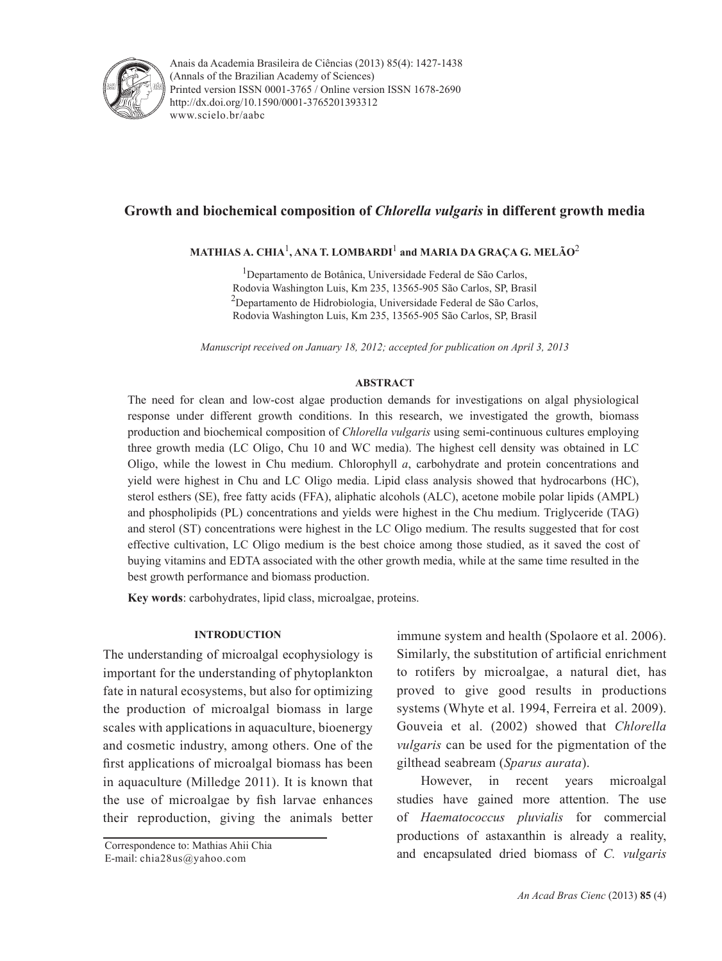

Anais da Academia Brasileira de Ciências (2013) 85(4): 1427-1438(Annals of the Brazilian Academy of Sciences) Printed version ISSN 0001-3765 / Online version ISSN 1678-2690 www.scielo.br/aabc http://dx.doi.org/10.1590/0001-3765201393312

# **Growth and biochemical composition of** *Chlorella vulgaris* **in different growth media**

**MATHIAS A. CHIA**<sup>1</sup> **, ANA T. LOMBARDI**<sup>1</sup>  **and MARIA DA GRAÇA G. MELÃO**<sup>2</sup>

<sup>1</sup>Departamento de Botânica, Universidade Federal de São Carlos, Rodovia Washington Luis, Km 235, 13565-905 São Carlos, SP, Brasil  $^{2}$ Departamento de Hidrobiologia, Universidade Federal de São Carlos, Rodovia Washington Luis, Km 235, 13565-905 São Carlos, SP, Brasil

*Manuscript received on January 18, 2012; accepted for publication on April 3, 2013*

# **ABSTRACT**

The need for clean and low-cost algae production demands for investigations on algal physiological response under different growth conditions. In this research, we investigated the growth, biomass production and biochemical composition of *Chlorella vulgaris* using semi-continuous cultures employing three growth media (LC Oligo, Chu 10 and WC media). The highest cell density was obtained in LC Oligo, while the lowest in Chu medium. Chlorophyll *a*, carbohydrate and protein concentrations and yield were highest in Chu and LC Oligo media. Lipid class analysis showed that hydrocarbons (HC), sterol esthers (SE), free fatty acids (FFA), aliphatic alcohols (ALC), acetone mobile polar lipids (AMPL) and phospholipids (PL) concentrations and yields were highest in the Chu medium. Triglyceride (TAG) and sterol (ST) concentrations were highest in the LC Oligo medium. The results suggested that for cost effective cultivation, LC Oligo medium is the best choice among those studied, as it saved the cost of buying vitamins and EDTA associated with the other growth media, while at the same time resulted in the best growth performance and biomass production.

**Key words**: carbohydrates, lipid class, microalgae, proteins.

# **INTRODUCTION**

The understanding of microalgal ecophysiology is important for the understanding of phytoplankton fate in natural ecosystems, but also for optimizing the production of microalgal biomass in large scales with applications in aquaculture, bioenergy and cosmetic industry, among others. One of the first applications of microalgal biomass has been in aquaculture (Milledge 2011). It is known that the use of microalgae by fish larvae enhances their reproduction, giving the animals better

Correspondence to: Mathias Ahii Chia E-mail: chia28us@yahoo.com

immune system and health (Spolaore et al. 2006). Similarly, the substitution of artificial enrichment to rotifers by microalgae, a natural diet, has proved to give good results in productions systems (Whyte et al. 1994, Ferreira et al. 2009). Gouveia et al. (2002) showed that *Chlorella vulgaris* can be used for the pigmentation of the gilthead seabream (*Sparus aurata*).

However, in recent years microalgal studies have gained more attention. The use of *Haematococcus pluvialis* for commercial productions of astaxanthin is already a reality, and encapsulated dried biomass of *C. vulgaris*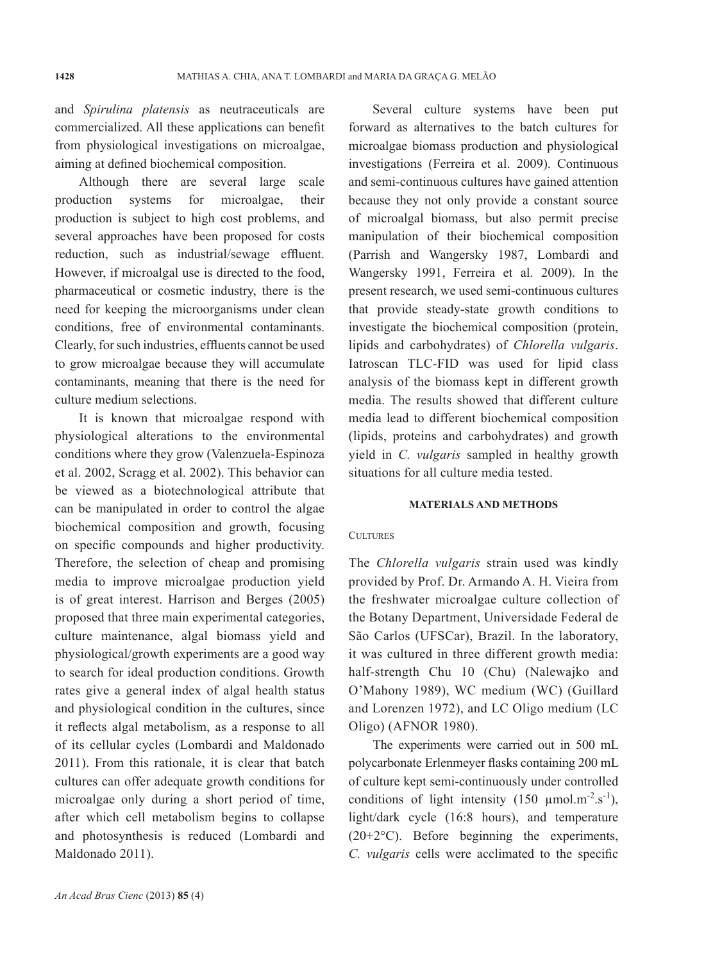and *Spirulina platensis* as neutraceuticals are commercialized. All these applications can benefit from physiological investigations on microalgae, aiming at defined biochemical composition.

Although there are several large scale production systems for microalgae, their production is subject to high cost problems, and several approaches have been proposed for costs reduction, such as industrial/sewage effluent. However, if microalgal use is directed to the food, pharmaceutical or cosmetic industry, there is the need for keeping the microorganisms under clean conditions, free of environmental contaminants. Clearly, for such industries, effluents cannot be used to grow microalgae because they will accumulate contaminants, meaning that there is the need for culture medium selections.

It is known that microalgae respond with physiological alterations to the environmental conditions where they grow (Valenzuela-Espinoza et al. 2002, Scragg et al. 2002). This behavior can be viewed as a biotechnological attribute that can be manipulated in order to control the algae biochemical composition and growth, focusing on specific compounds and higher productivity. Therefore, the selection of cheap and promising media to improve microalgae production yield is of great interest. Harrison and Berges (2005) proposed that three main experimental categories, culture maintenance, algal biomass yield and physiological/growth experiments are a good way to search for ideal production conditions. Growth rates give a general index of algal health status and physiological condition in the cultures, since it reflects algal metabolism, as a response to all of its cellular cycles (Lombardi and Maldonado 2011). From this rationale, it is clear that batch cultures can offer adequate growth conditions for microalgae only during a short period of time, after which cell metabolism begins to collapse and photosynthesis is reduced (Lombardi and Maldonado 2011).

Several culture systems have been put forward as alternatives to the batch cultures for microalgae biomass production and physiological investigations (Ferreira et al. 2009). Continuous and semi-continuous cultures have gained attention because they not only provide a constant source of microalgal biomass, but also permit precise manipulation of their biochemical composition (Parrish and Wangersky 1987, Lombardi and Wangersky 1991, Ferreira et al. 2009). In the present research, we used semi-continuous cultures that provide steady-state growth conditions to investigate the biochemical composition (protein, lipids and carbohydrates) of *Chlorella vulgaris*. Iatroscan TLC-FID was used for lipid class analysis of the biomass kept in different growth media. The results showed that different culture media lead to different biochemical composition (lipids, proteins and carbohydrates) and growth yield in *C. vulgaris* sampled in healthy growth situations for all culture media tested.

### **MATERIALS AND METHODS**

#### **CULTURES**

The *Chlorella vulgaris* strain used was kindly provided by Prof. Dr. Armando A. H. Vieira from the freshwater microalgae culture collection of the Botany Department, Universidade Federal de São Carlos (UFSCar), Brazil. In the laboratory, it was cultured in three different growth media: half-strength Chu 10 (Chu) (Nalewajko and O'Mahony 1989), WC medium (WC) (Guillard and Lorenzen 1972), and LC Oligo medium (LC Oligo) (AFNOR 1980).

The experiments were carried out in 500 mL polycarbonate Erlenmeyer flasks containing 200 mL of culture kept semi-continuously under controlled conditions of light intensity  $(150 \text{ µmol} \cdot \text{m}^{-2} \cdot \text{s}^{-1})$ , light/dark cycle (16:8 hours), and temperature  $(20+2°C)$ . Before beginning the experiments, *C. vulgaris* cells were acclimated to the specific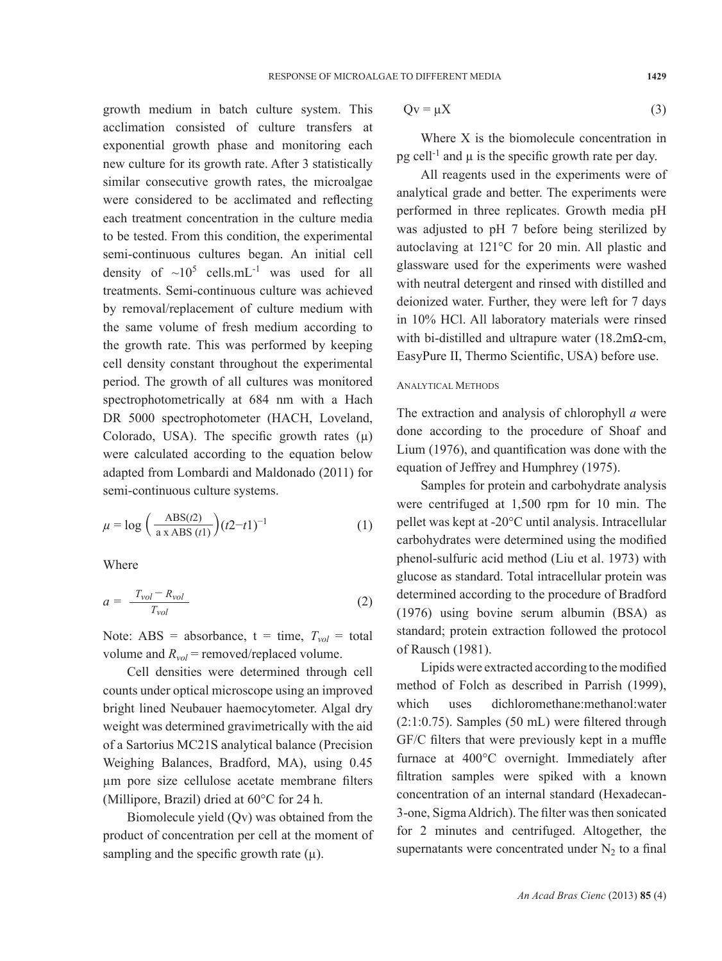growth medium in batch culture system. This acclimation consisted of culture transfers at exponential growth phase and monitoring each new culture for its growth rate. After 3 statistically similar consecutive growth rates, the microalgae were considered to be acclimated and reflecting each treatment concentration in the culture media to be tested. From this condition, the experimental semi-continuous cultures began. An initial cell density of  $\sim 10^5$  cells.mL<sup>-1</sup> was used for all treatments. Semi-continuous culture was achieved by removal/replacement of culture medium with the same volume of fresh medium according to the growth rate. This was performed by keeping cell density constant throughout the experimental period. The growth of all cultures was monitored spectrophotometrically at 684 nm with a Hach DR 5000 spectrophotometer (HACH, Loveland, Colorado, USA). The specific growth rates  $(\mu)$ were calculated according to the equation below adapted from Lombardi and Maldonado (2011) for semi-continuous culture systems.

$$
\mu = \log \left( \frac{\text{ABS}(t2)}{\text{a x ABS}(t1)} \right) (t2 - t1)^{-1} \tag{1}
$$

Where

$$
a = \frac{T_{vol} - R_{vol}}{T_{vol}} \tag{2}
$$

Note: ABS = absorbance,  $t = time$ ,  $T_{vol} = total$ volume and  $R_{vol}$  = removed/replaced volume.

Cell densities were determined through cell counts under optical microscope using an improved bright lined Neubauer haemocytometer. Algal dry weight was determined gravimetrically with the aid of a Sartorius MC21S analytical balance (Precision Weighing Balances, Bradford, MA), using 0.45 µm pore size cellulose acetate membrane filters (Millipore, Brazil) dried at 60°C for 24 h.

Biomolecule yield (Qv) was obtained from the product of concentration per cell at the moment of sampling and the specific growth rate  $(\mu)$ .

$$
Qv = \mu X \tag{3}
$$

Where X is the biomolecule concentration in pg cell<sup>-1</sup> and  $\mu$  is the specific growth rate per day.

All reagents used in the experiments were of analytical grade and better. The experiments were performed in three replicates. Growth media pH was adjusted to pH 7 before being sterilized by autoclaving at 121°C for 20 min. All plastic and glassware used for the experiments were washed with neutral detergent and rinsed with distilled and deionized water. Further, they were left for 7 days in 10% HCl. All laboratory materials were rinsed with bi-distilled and ultrapure water  $(18.2 \text{m}\Omega\text{-cm})$ , EasyPure II, Thermo Scientific, USA) before use.

#### ANALYTICAL METHODS

The extraction and analysis of chlorophyll *a* were done according to the procedure of Shoaf and Lium (1976), and quantification was done with the equation of Jeffrey and Humphrey (1975).

Samples for protein and carbohydrate analysis were centrifuged at 1,500 rpm for 10 min. The pellet was kept at -20°C until analysis. Intracellular carbohydrates were determined using the modified phenol-sulfuric acid method (Liu et al. 1973) with glucose as standard. Total intracellular protein was determined according to the procedure of Bradford (1976) using bovine serum albumin (BSA) as standard; protein extraction followed the protocol of Rausch (1981).

Lipids were extracted according to the modified method of Folch as described in Parrish (1999), which uses dichloromethane:methanol:water (2:1:0.75). Samples (50 mL) were filtered through GF/C filters that were previously kept in a muffle furnace at 400°C overnight. Immediately after filtration samples were spiked with a known concentration of an internal standard (Hexadecan-3-one, Sigma Aldrich). The filter was then sonicated for 2 minutes and centrifuged. Altogether, the supernatants were concentrated under  $N_2$  to a final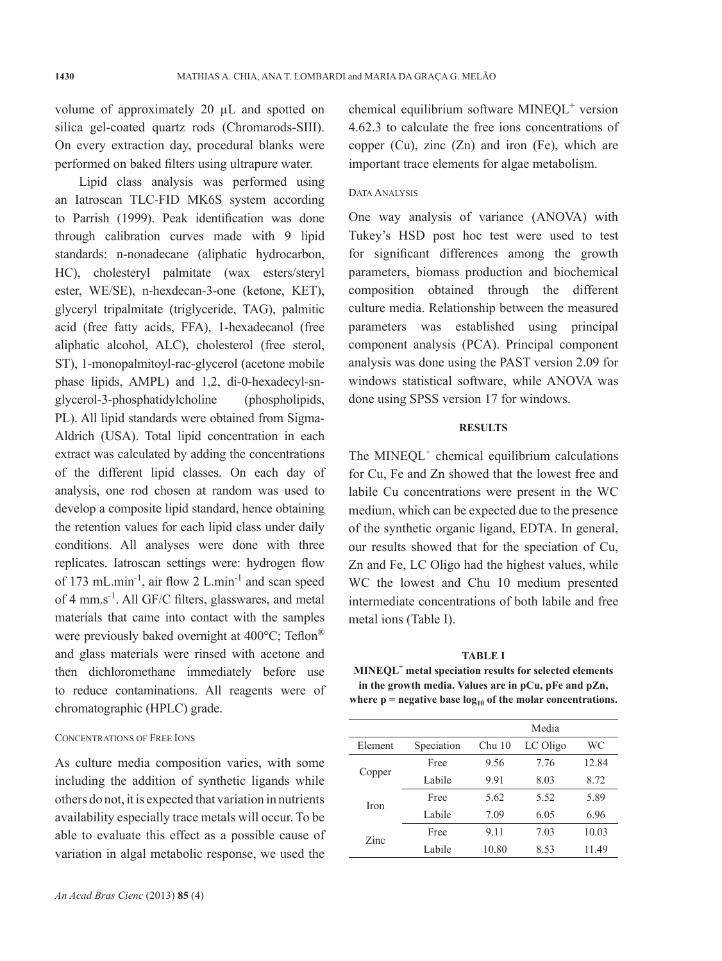volume of approximately 20 µL and spotted on silica gel-coated quartz rods (Chromarods-SIII). On every extraction day, procedural blanks were performed on baked filters using ultrapure water.

Lipid class analysis was performed using an Iatroscan TLC-FID MK6S system according to Parrish (1999). Peak identification was done through calibration curves made with 9 lipid standards: n-nonadecane (aliphatic hydrocarbon, HC), cholesteryl palmitate (wax esters/steryl ester, WE/SE), n-hexdecan-3-one (ketone, KET), glyceryl tripalmitate (triglyceride, TAG), palmitic acid (free fatty acids, FFA), 1-hexadecanol (free aliphatic alcohol, ALC), cholesterol (free sterol, ST), 1-monopalmitoyl-rac-glycerol (acetone mobile phase lipids, AMPL) and 1,2, di-0-hexadecyl-snglycerol-3-phosphatidylcholine (phospholipids, PL). All lipid standards were obtained from Sigma-Aldrich (USA). Total lipid concentration in each extract was calculated by adding the concentrations of the different lipid classes. On each day of analysis, one rod chosen at random was used to develop a composite lipid standard, hence obtaining the retention values for each lipid class under daily conditions. All analyses were done with three replicates. Iatroscan settings were: hydrogen flow of 173 mL.min-1, air flow 2 L.min-1 and scan speed of 4 mm.s-1. All GF/C filters, glasswares, and metal materials that came into contact with the samples were previously baked overnight at 400°C; Teflon® and glass materials were rinsed with acetone and then dichloromethane immediately before use to reduce contaminations. All reagents were of chromatographic (HPLC) grade.

# CONCENTRATIONS OF FREE IONS

As culture media composition varies, with some including the addition of synthetic ligands while others do not, it is expected that variation in nutrients availability especially trace metals will occur. To be able to evaluate this effect as a possible cause of variation in algal metabolic response, we used the

chemical equilibrium software MINEQL<sup>+</sup> version 4.62.3 to calculate the free ions concentrations of copper  $(Cu)$ , zinc  $(Zn)$  and iron  $(Fe)$ , which are important trace elements for algae metabolism.

# DATA ANALYSIS

One way analysis of variance (ANOVA) with Tukey's HSD post hoc test were used to test for significant differences among the growth parameters, biomass production and biochemical composition obtained through the different culture media. Relationship between the measured parameters was established using principal component analysis (PCA). Principal component analysis was done using the PAST version 2.09 for windows statistical software, while ANOVA was done using SPSS version 17 for windows.

### **RESULTS**

The  $MINEQL^+$  chemical equilibrium calculations for Cu, Fe and Zn showed that the lowest free and labile Cu concentrations were present in the WC medium, which can be expected due to the presence of the synthetic organic ligand, EDTA. In general, our results showed that for the speciation of Cu, Zn and Fe, LC Oligo had the highest values, while WC the lowest and Chu 10 medium presented intermediate concentrations of both labile and free metal ions (Table I).

**TABLE I MINEQL+ metal speciation results for selected elements in the growth media. Values are in pCu, pFe and pZn,**  where  $p$  = negative base  $log_{10}$  of the molar concentrations.

|         |            |          | Media    |       |
|---------|------------|----------|----------|-------|
| Element | Speciation | $Chu$ 10 | LC Oligo | WC    |
| Copper  | Free       | 9.56     | 7.76     | 12.84 |
|         | Labile     | 9.91     | 8.03     | 8.72  |
| Iron    | Free       | 5.62     | 5.52     | 5.89  |
|         | Labile     | 7.09     | 6.05     | 6.96  |
| Zinc    | Free       | 9.11     | 7.03     | 10.03 |
|         | Labile     | 10.80    | 8.53     | 11.49 |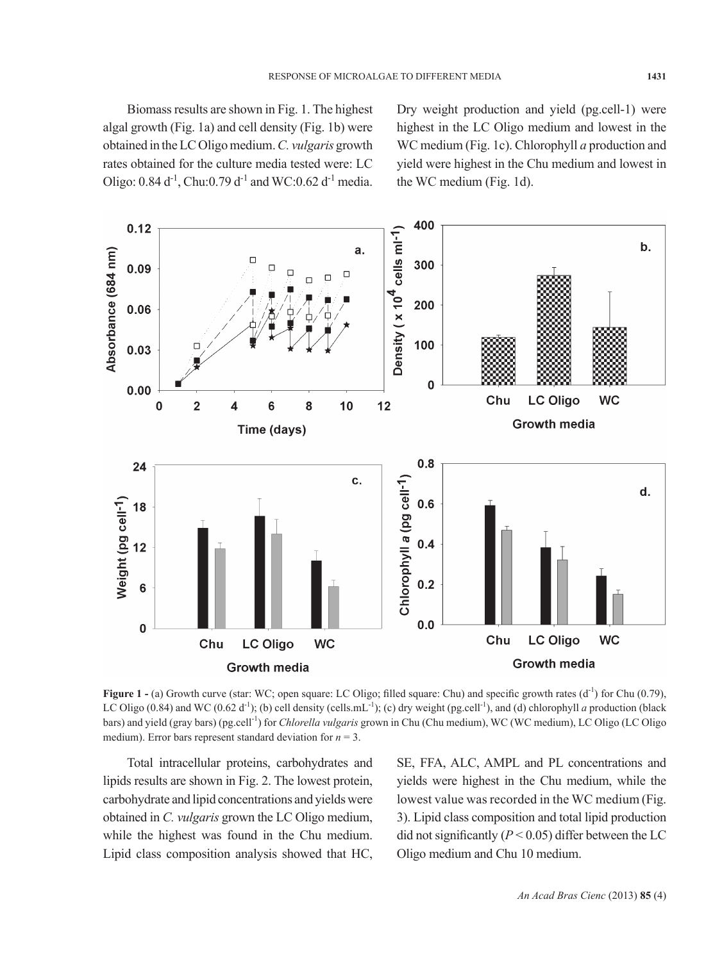Biomass results are shown in Fig. 1. The highest algal growth (Fig. 1a) and cell density (Fig. 1b) were obtained in the LC Oligo medium. *C. vulgaris* growth rates obtained for the culture media tested were: LC Oligo:  $0.84 d^{-1}$ , Chu: $0.79 d^{-1}$  and WC: $0.62 d^{-1}$  media.

Dry weight production and yield (pg.cell-1) were highest in the LC Oligo medium and lowest in the WC medium (Fig. 1c). Chlorophyll *a* production and yield were highest in the Chu medium and lowest in the WC medium (Fig. 1d).



**Figure 1 -** (a) Growth curve (star: WC; open square: LC Oligo; filled square: Chu) and specific growth rates (d<sup>-1</sup>) for Chu (0.79), LC Oligo (0.84) and WC (0.62 d<sup>-1</sup>); (b) cell density (cells.mL<sup>-1</sup>); (c) dry weight (pg.cell<sup>-1</sup>), and (d) chlorophyll *a* production (black bars) and yield (gray bars) (pg.cell-1) for *Chlorella vulgaris* grown in Chu (Chu medium), WC (WC medium), LC Oligo (LC Oligo medium). Error bars represent standard deviation for  $n = 3$ .

Total intracellular proteins, carbohydrates and lipids results are shown in Fig. 2. The lowest protein, carbohydrate and lipid concentrations and yields were obtained in *C. vulgaris* grown the LC Oligo medium, while the highest was found in the Chu medium. Lipid class composition analysis showed that HC, SE, FFA, ALC, AMPL and PL concentrations and yields were highest in the Chu medium, while the lowest value was recorded in the WC medium (Fig. 3). Lipid class composition and total lipid production did not significantly  $(P < 0.05)$  differ between the LC Oligo medium and Chu 10 medium.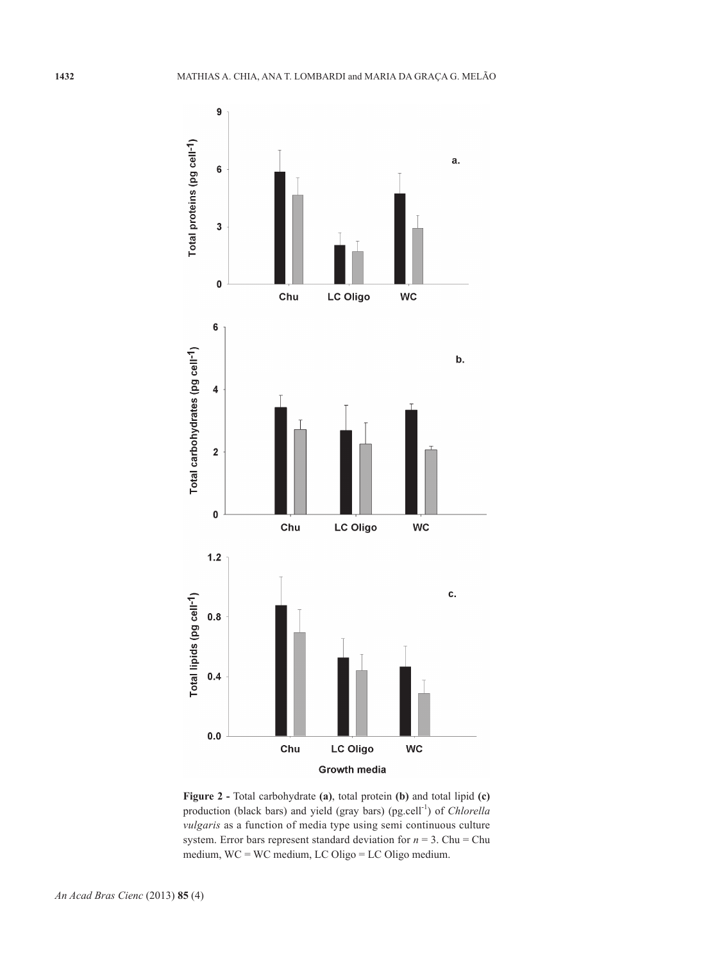

**Figure 2 -** Total carbohydrate **(a)**, total protein **(b)** and total lipid **(c)**  production (black bars) and yield (gray bars) (pg.cell-1) of *Chlorella vulgaris* as a function of media type using semi continuous culture system. Error bars represent standard deviation for  $n = 3$ . Chu = Chu medium, WC = WC medium, LC Oligo = LC Oligo medium.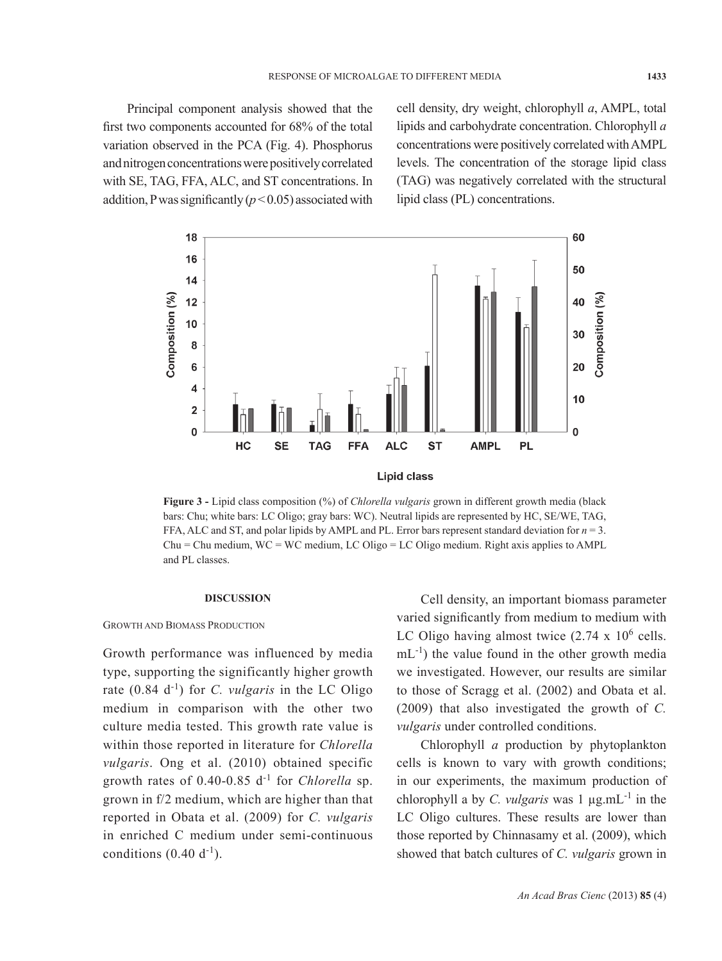Principal component analysis showed that the first two components accounted for 68% of the total variation observed in the PCA (Fig. 4). Phosphorus and nitrogen concentrations were positively correlated with SE, TAG, FFA, ALC, and ST concentrations. In addition, P was significantly  $(p<0.05)$  associated with

cell density, dry weight, chlorophyll *a*, AMPL, total lipids and carbohydrate concentration. Chlorophyll *a* concentrations were positively correlated with AMPL levels. The concentration of the storage lipid class (TAG) was negatively correlated with the structural lipid class (PL) concentrations.



**Figure 3 -** Lipid class composition (%) of *Chlorella vulgaris* grown in different growth media (black bars: Chu; white bars: LC Oligo; gray bars: WC). Neutral lipids are represented by HC, SE/WE, TAG, FFA, ALC and ST, and polar lipids by AMPL and PL. Error bars represent standard deviation for  $n = 3$ .  $Chu = Chu$  medium, WC = WC medium, LC Oligo = LC Oligo medium. Right axis applies to AMPL and PL classes.

#### **DISCUSSION**

#### GROWTH AND BIOMASS PRODUCTION

Growth performance was influenced by media type, supporting the significantly higher growth rate (0.84 d-1) for *C. vulgaris* in the LC Oligo medium in comparison with the other two culture media tested. This growth rate value is within those reported in literature for *Chlorella vulgaris*. Ong et al. (2010) obtained specific growth rates of 0.40-0.85 d-1 for *Chlorella* sp. grown in f/2 medium, which are higher than that reported in Obata et al. (2009) for *C. vulgaris* in enriched C medium under semi-continuous conditions  $(0.40 d^{-1})$ .

Cell density, an important biomass parameter varied significantly from medium to medium with LC Oligo having almost twice  $(2.74 \times 10^6 \text{ cells.})$  $mL^{-1}$ ) the value found in the other growth media we investigated. However, our results are similar to those of Scragg et al. (2002) and Obata et al. (2009) that also investigated the growth of *C. vulgaris* under controlled conditions.

Chlorophyll *a* production by phytoplankton cells is known to vary with growth conditions; in our experiments, the maximum production of chlorophyll a by *C. vulgaris* was  $1 \mu$ g.mL<sup>-1</sup> in the LC Oligo cultures. These results are lower than those reported by Chinnasamy et al. (2009), which showed that batch cultures of *C. vulgaris* grown in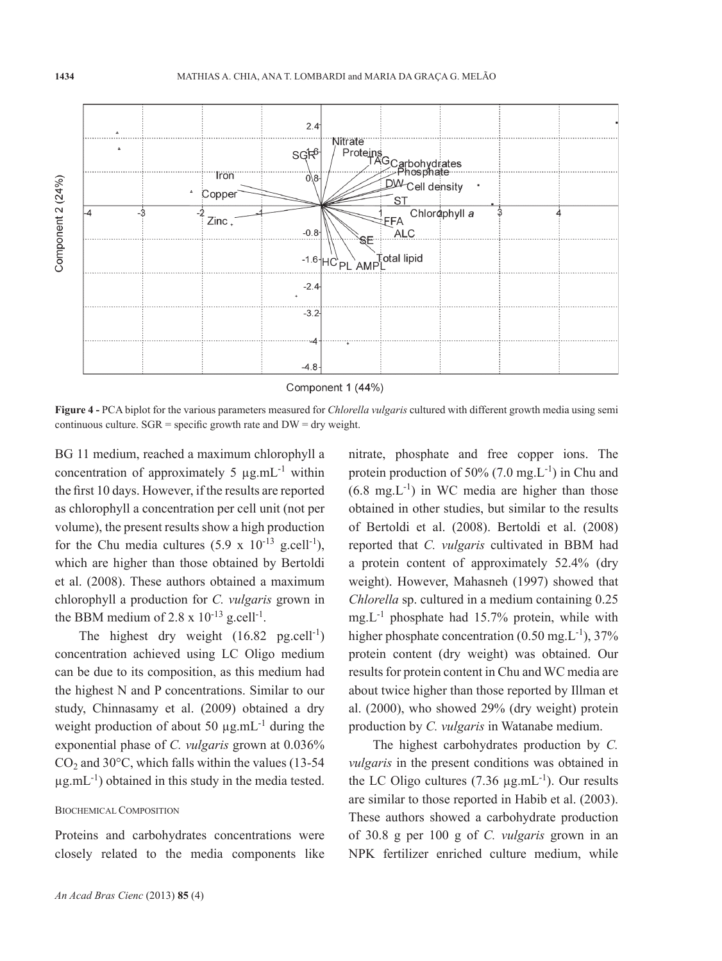

Component 1 (44%)

**Figure 4 -** PCA biplot for the various parameters measured for *Chlorella vulgaris* cultured with different growth media using semi continuous culture.  $SGR$  = specific growth rate and  $DW =$  dry weight.

BG 11 medium, reached a maximum chlorophyll a concentration of approximately 5  $\mu$ g.mL<sup>-1</sup> within the first 10 days. However, if the results are reported as chlorophyll a concentration per cell unit (not per volume), the present results show a high production for the Chu media cultures  $(5.9 \times 10^{-13} \text{ g.cell}^{-1})$ , which are higher than those obtained by Bertoldi et al. (2008). These authors obtained a maximum chlorophyll a production for *C. vulgaris* grown in the BBM medium of 2.8 x  $10^{-13}$  g.cell<sup>-1</sup>.

The highest dry weight  $(16.82 \text{ p}g.cell^{-1})$ concentration achieved using LC Oligo medium can be due to its composition, as this medium had the highest N and P concentrations. Similar to our study, Chinnasamy et al. (2009) obtained a dry weight production of about 50  $\mu$ g.mL<sup>-1</sup> during the exponential phase of *C. vulgaris* grown at 0.036%  $CO<sub>2</sub>$  and 30 $\degree$ C, which falls within the values (13-54)  $\mu$ g.mL<sup>-1</sup>) obtained in this study in the media tested.

# BIOCHEMICAL COMPOSITION

Proteins and carbohydrates concentrations were closely related to the media components like

*An Acad Bras Cienc* (2013) **85** (4)

nitrate, phosphate and free copper ions. The protein production of  $50\%$  (7.0 mg,  $L^{-1}$ ) in Chu and  $(6.8 \text{ mg} L^{-1})$  in WC media are higher than those obtained in other studies, but similar to the results of Bertoldi et al. (2008). Bertoldi et al. (2008) reported that *C. vulgaris* cultivated in BBM had a protein content of approximately 52.4% (dry weight). However, Mahasneh (1997) showed that *Chlorella* sp. cultured in a medium containing 0.25  $mg.L^{-1}$  phosphate had 15.7% protein, while with higher phosphate concentration  $(0.50 \text{ mg} \cdot \text{L}^{-1})$ , 37% protein content (dry weight) was obtained. Our results for protein content in Chu and WC media are about twice higher than those reported by Illman et al. (2000), who showed 29% (dry weight) protein production by *C. vulgaris* in Watanabe medium.

The highest carbohydrates production by *C. vulgaris* in the present conditions was obtained in the LC Oligo cultures  $(7.36 \mu g.mL^{-1})$ . Our results are similar to those reported in Habib et al. (2003). These authors showed a carbohydrate production of 30.8 g per 100 g of *C. vulgaris* grown in an NPK fertilizer enriched culture medium, while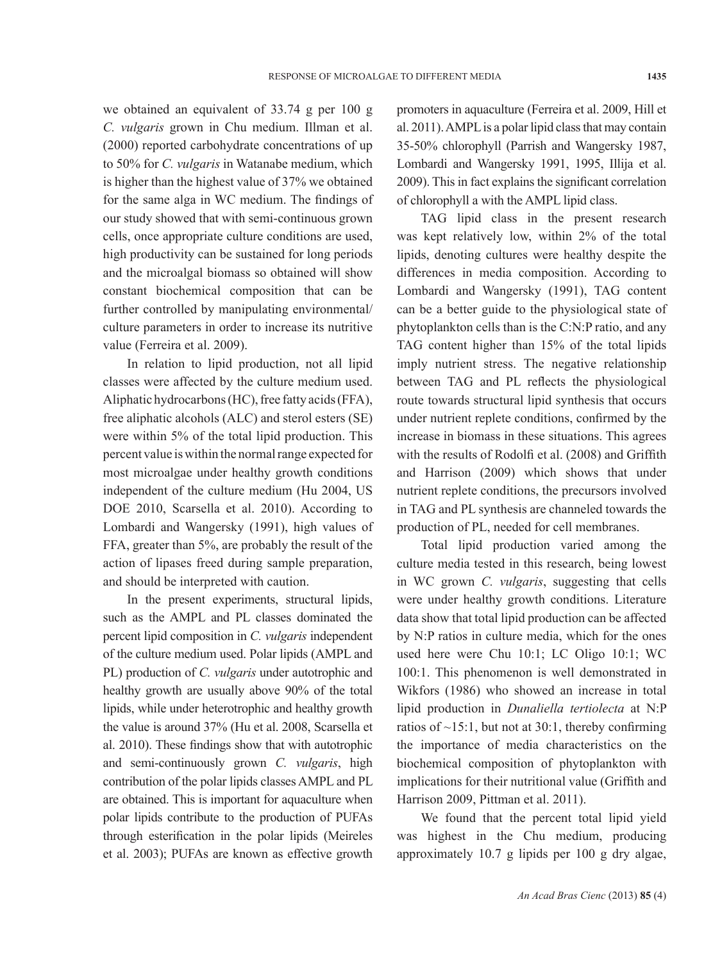we obtained an equivalent of 33.74 g per 100 g *C. vulgaris* grown in Chu medium. Illman et al. (2000) reported carbohydrate concentrations of up to 50% for *C. vulgaris* in Watanabe medium, which is higher than the highest value of 37% we obtained for the same alga in WC medium. The findings of our study showed that with semi-continuous grown cells, once appropriate culture conditions are used, high productivity can be sustained for long periods and the microalgal biomass so obtained will show constant biochemical composition that can be further controlled by manipulating environmental/ culture parameters in order to increase its nutritive value (Ferreira et al. 2009).

In relation to lipid production, not all lipid classes were affected by the culture medium used. Aliphatic hydrocarbons (HC), free fatty acids (FFA), free aliphatic alcohols (ALC) and sterol esters (SE) were within 5% of the total lipid production. This percent value is within the normal range expected for most microalgae under healthy growth conditions independent of the culture medium (Hu 2004, US DOE 2010, Scarsella et al. 2010). According to Lombardi and Wangersky (1991), high values of FFA, greater than 5%, are probably the result of the action of lipases freed during sample preparation, and should be interpreted with caution.

In the present experiments, structural lipids, such as the AMPL and PL classes dominated the percent lipid composition in *C. vulgaris* independent of the culture medium used. Polar lipids (AMPL and PL) production of *C. vulgaris* under autotrophic and healthy growth are usually above 90% of the total lipids, while under heterotrophic and healthy growth the value is around 37% (Hu et al. 2008, Scarsella et al. 2010). These findings show that with autotrophic and semi-continuously grown *C. vulgaris*, high contribution of the polar lipids classes AMPL and PL are obtained. This is important for aquaculture when polar lipids contribute to the production of PUFAs through esterification in the polar lipids (Meireles et al. 2003); PUFAs are known as effective growth promoters in aquaculture (Ferreira et al. 2009, Hill et al. 2011). AMPL is a polar lipid class that may contain 35-50% chlorophyll (Parrish and Wangersky 1987, Lombardi and Wangersky 1991, 1995, Illija et al. 2009). This in fact explains the significant correlation of chlorophyll a with the AMPL lipid class.

TAG lipid class in the present research was kept relatively low, within 2% of the total lipids, denoting cultures were healthy despite the differences in media composition. According to Lombardi and Wangersky (1991), TAG content can be a better guide to the physiological state of phytoplankton cells than is the C:N:P ratio, and any TAG content higher than 15% of the total lipids imply nutrient stress. The negative relationship between TAG and PL reflects the physiological route towards structural lipid synthesis that occurs under nutrient replete conditions, confirmed by the increase in biomass in these situations. This agrees with the results of Rodolfi et al. (2008) and Griffith and Harrison (2009) which shows that under nutrient replete conditions, the precursors involved in TAG and PL synthesis are channeled towards the production of PL, needed for cell membranes.

Total lipid production varied among the culture media tested in this research, being lowest in WC grown *C. vulgaris*, suggesting that cells were under healthy growth conditions. Literature data show that total lipid production can be affected by N:P ratios in culture media, which for the ones used here were Chu 10:1; LC Oligo 10:1; WC 100:1. This phenomenon is well demonstrated in Wikfors (1986) who showed an increase in total lipid production in *Dunaliella tertiolecta* at N:P ratios of  $\sim$ 15:1, but not at 30:1, thereby confirming the importance of media characteristics on the biochemical composition of phytoplankton with implications for their nutritional value (Griffith and Harrison 2009, Pittman et al. 2011).

We found that the percent total lipid yield was highest in the Chu medium, producing approximately 10.7 g lipids per 100 g dry algae,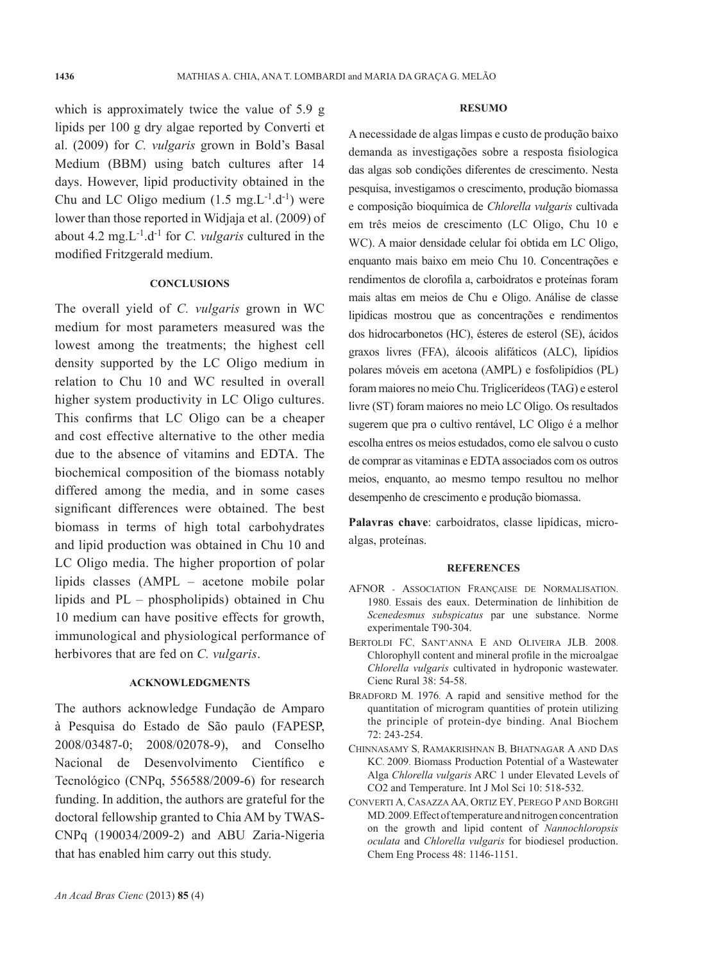which is approximately twice the value of 5.9 g lipids per 100 g dry algae reported by Converti et al. (2009) for *C. vulgaris* grown in Bold's Basal Medium (BBM) using batch cultures after 14 days. However, lipid productivity obtained in the Chu and LC Oligo medium  $(1.5 \text{ mg} \cdot L^{-1} \cdot d^{-1})$  were lower than those reported in Widjaja et al. (2009) of about 4.2 mg.L-1.d-1 for *C. vulgaris* cultured in the modified Fritzgerald medium.

### **CONCLUSIONS**

The overall yield of *C. vulgaris* grown in WC medium for most parameters measured was the lowest among the treatments; the highest cell density supported by the LC Oligo medium in relation to Chu 10 and WC resulted in overall higher system productivity in LC Oligo cultures. This confirms that LC Oligo can be a cheaper and cost effective alternative to the other media due to the absence of vitamins and EDTA. The biochemical composition of the biomass notably differed among the media, and in some cases significant differences were obtained. The best biomass in terms of high total carbohydrates and lipid production was obtained in Chu 10 and LC Oligo media. The higher proportion of polar lipids classes (AMPL – acetone mobile polar lipids and PL – phospholipids) obtained in Chu 10 medium can have positive effects for growth, immunological and physiological performance of herbivores that are fed on *C. vulgaris*.

# **ACKNOWLEDGMENTS**

The authors acknowledge Fundação de Amparo à Pesquisa do Estado de São paulo (FAPESP, 2008/03487-0; 2008/02078-9), and Conselho Nacional de Desenvolvimento Científico e Tecnológico (CNPq, 556588/2009-6) for research funding. In addition, the authors are grateful for the doctoral fellowship granted to Chia AM by TWAS-CNPq (190034/2009-2) and ABU Zaria-Nigeria that has enabled him carry out this study.

#### **RESUMO**

A necessidade de algas limpas e custo de produção baixo demanda as investigações sobre a resposta fisiologica das algas sob condições diferentes de crescimento. Nesta pesquisa, investigamos o crescimento, produção biomassa e composição bioquímica de *Chlorella vulgaris* cultivada em três meios de crescimento (LC Oligo, Chu 10 e WC). A maior densidade celular foi obtida em LC Oligo, enquanto mais baixo em meio Chu 10. Concentrações e rendimentos de clorofila a, carboidratos e proteínas foram mais altas em meios de Chu e Oligo. Análise de classe lipidicas mostrou que as concentrações e rendimentos dos hidrocarbonetos (HC), ésteres de esterol (SE), ácidos graxos livres (FFA), álcoois alifáticos (ALC), lipídios polares móveis em acetona (AMPL) e fosfolipídios (PL) foram maiores no meio Chu. Triglicerídeos (TAG) e esterol livre (ST) foram maiores no meio LC Oligo. Os resultados sugerem que pra o cultivo rentável, LC Oligo é a melhor escolha entres os meios estudados, como ele salvou o custo de comprar as vitaminas e EDTA associados com os outros meios, enquanto, ao mesmo tempo resultou no melhor desempenho de crescimento e produção biomassa.

**Palavras chave**: carboidratos, classe lipídicas, microalgas, proteínas.

#### **REFERENCES**

- AFNOR Association Française de Normalisation. 1980. Essais des eaux. Determination de línhibition de *Scenedesmus subspicatus* par une substance. Norme experimentale T90-304.
- BERTOLDI FC, SANT'ANNA E AND OLIVEIRA JLB. 2008. Chlorophyll content and mineral profile in the microalgae *Chlorella vulgaris* cultivated in hydroponic wastewater. Cienc Rural 38: 54-58.
- BRADFORD M. 1976. A rapid and sensitive method for the quantitation of microgram quantities of protein utilizing the principle of protein-dye binding. Anal Biochem 72: 243-254.
- CHINNASAMY S, RAMAKRISHNAN B, BHATNAGAR A AND DAS KC. 2009. Biomass Production Potential of a Wastewater Alga *Chlorella vulgaris* ARC 1 under Elevated Levels of CO2 and Temperature. Int J Mol Sci 10: 518-532.
- CONVERTI A, CASAZZA AA, ORTIZ EY, PEREGO P AND BORGHI MD. 2009. Effect of temperature and nitrogen concentration on the growth and lipid content of *Nannochloropsis oculata* and *Chlorella vulgaris* for biodiesel production. Chem Eng Process 48: 1146-1151.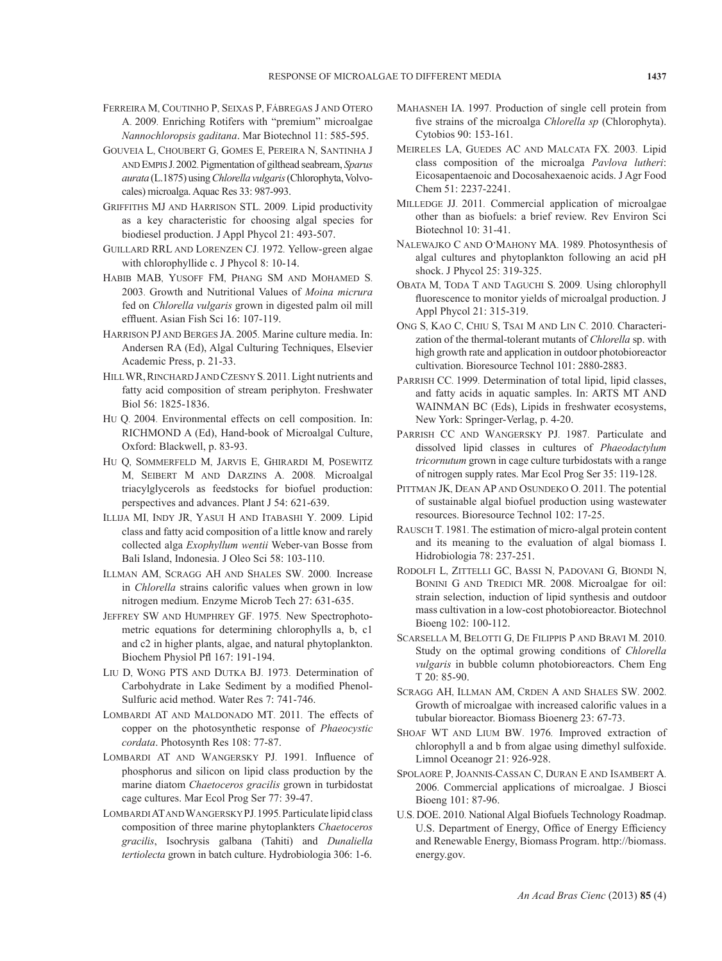- FERREIRA M, COUTINHO P, SEIXAS P, FÁBREGAS J AND OTERO A. 2009. Enriching Rotifers with "premium" microalgae *Nannochloropsis gaditana*. Mar Biotechnol 11: 585-595.
- GOUVEIA L, CHOUBERT G, GOMES E, PEREIRA N, SANTINHA J AND EMPIS J. 2002. Pigmentation of gilthead seabream, *Sparus aurata* (L.1875) using *Chlorella vulgaris* (Chlorophyta, Volvocales) microalga. Aquac Res 33: 987-993.
- GRIFFITHS MJ AND HARRISON STL. 2009. Lipid productivity as a key characteristic for choosing algal species for biodiesel production. J Appl Phycol 21: 493-507.
- GUILLARD RRL AND LORENZEN CJ. 1972. Yellow-green algae with chlorophyllide c. J Phycol 8: 10-14.
- HABIB MAB, YUSOFF FM, PHANG SM AND MOHAMED S. 2003. Growth and Nutritional Values of *Moina micrura* fed on *Chlorella vulgaris* grown in digested palm oil mill effluent. Asian Fish Sci 16: 107-119.
- HARRISON PJ AND BERGES JA. 2005. Marine culture media. In: Andersen RA (Ed), Algal Culturing Techniques, Elsevier Academic Press, p. 21-33.
- HILL WR, RINCHARD JAND CZESNY S. 2011. Light nutrients and fatty acid composition of stream periphyton. Freshwater Biol 56: 1825-1836.
- HU Q. 2004. Environmental effects on cell composition. In: RICHMOND A (Ed), Hand-book of Microalgal Culture, Oxford: Blackwell, p. 83-93.
- HU Q, SOMMERFELD M, JARVIS E, GHIRARDI M, POSEWITZ M, SEIBERT M AND DARZINS A. 2008. Microalgal triacylglycerols as feedstocks for biofuel production: perspectives and advances. Plant J 54: 621-639.
- ILLIJA MI, INDY JR, YASUI H AND ITABASHI Y. 2009. Lipid class and fatty acid composition of a little know and rarely collected alga *Exophyllum wentii* Weber-van Bosse from Bali Island, Indonesia. J Oleo Sci 58: 103-110.
- ILLMAN AM, SCRAGG AH AND SHALES SW. 2000. Increase in *Chlorella* strains calorific values when grown in low nitrogen medium. Enzyme Microb Tech 27: 631-635.
- JEFFREY SW AND HUMPHREY GF. 1975. New Spectrophotometric equations for determining chlorophylls a, b, c1 and c2 in higher plants, algae, and natural phytoplankton. Biochem Physiol Pfl 167: 191-194.
- LIU D, WONG PTS AND DUTKA BJ. 1973. Determination of Carbohydrate in Lake Sediment by a modified Phenol-Sulfuric acid method. Water Res 7: 741-746.
- LOMBARDI AT AND MALDONADO MT. 2011. The effects of copper on the photosynthetic response of *Phaeocystic cordata*. Photosynth Res 108: 77-87.
- LOMBARDI AT AND WANGERSKY PJ. 1991. Influence of phosphorus and silicon on lipid class production by the marine diatom *Chaetoceros gracilis* grown in turbidostat cage cultures. Mar Ecol Prog Ser 77: 39-47.
- LOMBARDI AT AND WANGERSKYPJ. 1995. Particulate lipid class composition of three marine phytoplankters *Chaetoceros gracilis*, Isochrysis galbana (Tahiti) and *Dunaliella tertiolecta* grown in batch culture. Hydrobiologia 306: 1-6.
- MAHASNEH IA. 1997. Production of single cell protein from five strains of the microalga *Chlorella sp* (Chlorophyta). Cytobios 90: 153-161.
- MEIRELES LA, GUEDES AC AND MALCATA FX. 2003. Lipid class composition of the microalga *Pavlova lutheri*: Eicosapentaenoic and Docosahexaenoic acids. J Agr Food Chem 51: 2237-2241.
- MILLEDGE JJ. 2011. Commercial application of microalgae other than as biofuels: a brief review. Rev Environ Sci Biotechnol 10: 31-41.
- NALEWAJKO C AND O'MAHONY MA. 1989. Photosynthesis of algal cultures and phytoplankton following an acid pH shock. J Phycol 25: 319-325.
- OBATA M, TODA T AND TAGUCHI S. 2009. Using chlorophyll fluorescence to monitor yields of microalgal production. J Appl Phycol 21: 315-319.
- ONG S, KAO C, CHIU S, TSAI M AND LIN C. 2010. Characterization of the thermal-tolerant mutants of *Chlorella* sp. with high growth rate and application in outdoor photobioreactor cultivation. Bioresource Technol 101: 2880-2883.
- PARRISH CC. 1999. Determination of total lipid, lipid classes, and fatty acids in aquatic samples. In: ARTS MT AND WAINMAN BC (Eds), Lipids in freshwater ecosystems, New York: Springer-Verlag, p. 4-20.
- PARRISH CC AND WANGERSKY PJ. 1987. Particulate and dissolved lipid classes in cultures of *Phaeodactylum tricornutum* grown in cage culture turbidostats with a range of nitrogen supply rates. Mar Ecol Prog Ser 35: 119-128.
- PITTMAN JK, DEAN AP AND OSUNDEKO O. 2011. The potential of sustainable algal biofuel production using wastewater resources. Bioresource Technol 102: 17-25.
- RAUSCH T. 1981. The estimation of micro-algal protein content and its meaning to the evaluation of algal biomass I. Hidrobiologia 78: 237-251.
- RODOLFI L, ZITTELLI GC, BASSI N, PADOVANI G, BIONDI N, BONINI G AND TREDICI MR. 2008. Microalgae for oil: strain selection, induction of lipid synthesis and outdoor mass cultivation in a low-cost photobioreactor. Biotechnol Bioeng 102: 100-112.
- SCARSELLA M, BELOTTI G, DE FILIPPIS P AND BRAVI M. 2010. Study on the optimal growing conditions of *Chlorella vulgaris* in bubble column photobioreactors. Chem Eng T 20: 85-90.
- SCRAGG AH, ILLMAN AM, CRDEN A AND SHALES SW. 2002. Growth of microalgae with increased calorific values in a tubular bioreactor. Biomass Bioenerg 23: 67-73.
- SHOAF WT AND LIUM BW. 1976. Improved extraction of chlorophyll a and b from algae using dimethyl sulfoxide. Limnol Oceanogr 21: 926-928.
- SPOLAORE P, JOANNIS-CASSAN C, DURAN E AND ISAMBERT A. 2006. Commercial applications of microalgae. J Biosci Bioeng 101: 87-96.
- U.S. DOE. 2010. National Algal Biofuels Technology Roadmap. U.S. Department of Energy, Office of Energy Efficiency and Renewable Energy, Biomass Program. http://biomass. energy.gov.